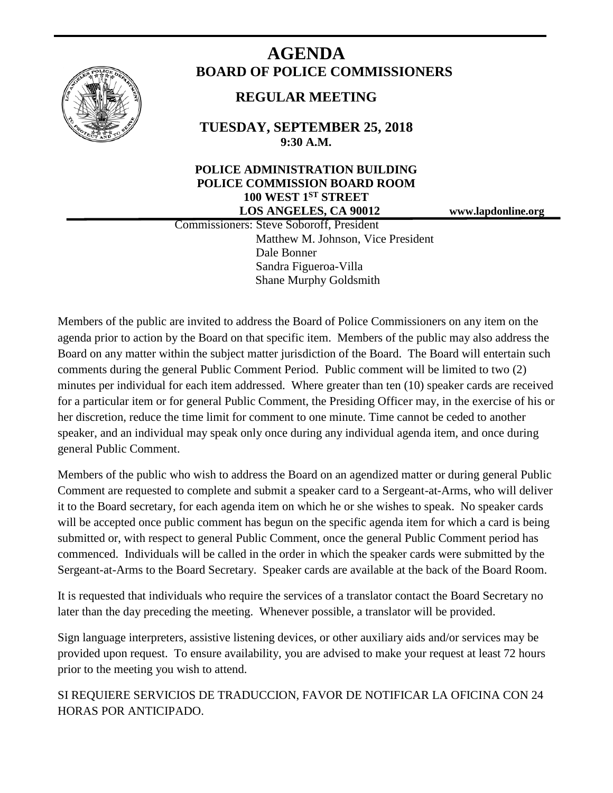

# **AGENDA BOARD OF POLICE COMMISSIONERS**

# **REGULAR MEETING**

**TUESDAY, SEPTEMBER 25, 2018 9:30 A.M.**

# **POLICE ADMINISTRATION BUILDING POLICE COMMISSION BOARD ROOM 100 WEST 1ST STREET LOS ANGELES, CA 90012 www.lapdonline.org**

 Commissioners: Steve Soboroff, President Matthew M. Johnson, Vice President Dale Bonner Sandra Figueroa-Villa Shane Murphy Goldsmith

Members of the public are invited to address the Board of Police Commissioners on any item on the agenda prior to action by the Board on that specific item. Members of the public may also address the Board on any matter within the subject matter jurisdiction of the Board. The Board will entertain such comments during the general Public Comment Period. Public comment will be limited to two (2) minutes per individual for each item addressed. Where greater than ten (10) speaker cards are received for a particular item or for general Public Comment, the Presiding Officer may, in the exercise of his or her discretion, reduce the time limit for comment to one minute. Time cannot be ceded to another speaker, and an individual may speak only once during any individual agenda item, and once during general Public Comment.

Members of the public who wish to address the Board on an agendized matter or during general Public Comment are requested to complete and submit a speaker card to a Sergeant-at-Arms, who will deliver it to the Board secretary, for each agenda item on which he or she wishes to speak. No speaker cards will be accepted once public comment has begun on the specific agenda item for which a card is being submitted or, with respect to general Public Comment, once the general Public Comment period has commenced. Individuals will be called in the order in which the speaker cards were submitted by the Sergeant-at-Arms to the Board Secretary. Speaker cards are available at the back of the Board Room.

It is requested that individuals who require the services of a translator contact the Board Secretary no later than the day preceding the meeting. Whenever possible, a translator will be provided.

Sign language interpreters, assistive listening devices, or other auxiliary aids and/or services may be provided upon request. To ensure availability, you are advised to make your request at least 72 hours prior to the meeting you wish to attend.

SI REQUIERE SERVICIOS DE TRADUCCION, FAVOR DE NOTIFICAR LA OFICINA CON 24 HORAS POR ANTICIPADO.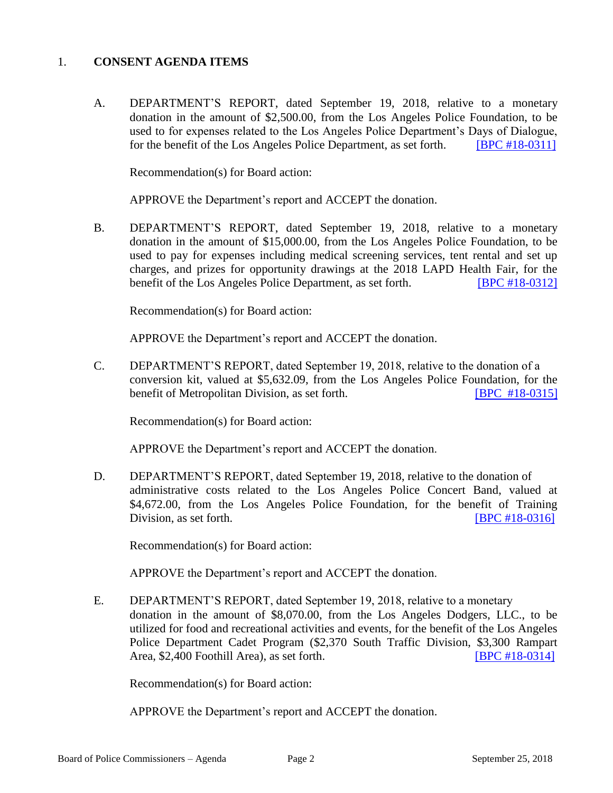#### 1. **CONSENT AGENDA ITEMS**

A. DEPARTMENT'S REPORT, dated September 19, 2018, relative to a monetary donation in the amount of \$2,500.00, from the Los Angeles Police Foundation, to be used to for expenses related to the Los Angeles Police Department's Days of Dialogue, for the benefit of the Los Angeles Police Department, as set forth. **[\[BPC #18-0311\]](http://www.lapdpolicecom.lacity.org/092518/BPC_18-0311.pdf)** 

Recommendation(s) for Board action:

APPROVE the Department's report and ACCEPT the donation.

B. DEPARTMENT'S REPORT, dated September 19, 2018, relative to a monetary donation in the amount of \$15,000.00, from the Los Angeles Police Foundation, to be used to pay for expenses including medical screening services, tent rental and set up charges, and prizes for opportunity drawings at the 2018 LAPD Health Fair, for the benefit of the Los Angeles Police Department, as set forth. [\[BPC #18-0312\]](http://www.lapdpolicecom.lacity.org/092518/BPC_18-0312.pdf)

Recommendation(s) for Board action:

APPROVE the Department's report and ACCEPT the donation.

C. DEPARTMENT'S REPORT, dated September 19, 2018, relative to the donation of a conversion kit, valued at \$5,632.09, from the Los Angeles Police Foundation, for the benefit of Metropolitan Division, as set forth. **[\[BPC #18-0315\]](http://www.lapdpolicecom.lacity.org/092518/BPC_18-0315.pdf)** 

Recommendation(s) for Board action:

APPROVE the Department's report and ACCEPT the donation.

D. DEPARTMENT'S REPORT, dated September 19, 2018, relative to the donation of administrative costs related to the Los Angeles Police Concert Band, valued at \$4,672.00, from the Los Angeles Police Foundation, for the benefit of Training Division, as set forth. **[\[BPC #18-0316\]](http://www.lapdpolicecom.lacity.org/092518/BPC_18-0316.pdf)** 

Recommendation(s) for Board action:

APPROVE the Department's report and ACCEPT the donation.

E. DEPARTMENT'S REPORT, dated September 19, 2018, relative to a monetary donation in the amount of \$8,070.00, from the Los Angeles Dodgers, LLC., to be utilized for food and recreational activities and events, for the benefit of the Los Angeles Police Department Cadet Program (\$2,370 South Traffic Division, \$3,300 Rampart Area, \$2,400 Foothill Area), as set forth. **IDPC #18-0314** 

Recommendation(s) for Board action:

APPROVE the Department's report and ACCEPT the donation.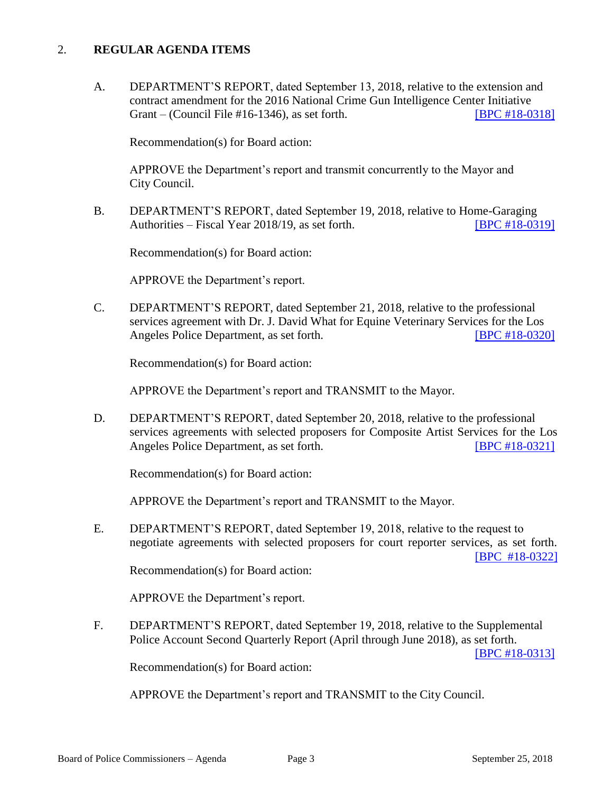#### 2. **REGULAR AGENDA ITEMS**

A. DEPARTMENT'S REPORT, dated September 13, 2018, relative to the extension and contract amendment for the 2016 National Crime Gun Intelligence Center Initiative Grant – (Council File #16-1346), as set forth. [\[BPC #18-0318\]](http://www.lapdpolicecom.lacity.org/092518/BPC_18-0318.pdf)

Recommendation(s) for Board action:

APPROVE the Department's report and transmit concurrently to the Mayor and City Council.

B. DEPARTMENT'S REPORT, dated September 19, 2018, relative to Home-Garaging Authorities – Fiscal Year 2018/19, as set forth. **IBPC #18-0319** 

Recommendation(s) for Board action:

APPROVE the Department's report.

C. DEPARTMENT'S REPORT, dated September 21, 2018, relative to the professional services agreement with Dr. J. David What for Equine Veterinary Services for the Los Angeles Police Department, as set forth. [\[BPC #18-0320\]](http://www.lapdpolicecom.lacity.org/092518/BPC_18-0320.pdf)

Recommendation(s) for Board action:

APPROVE the Department's report and TRANSMIT to the Mayor.

D. DEPARTMENT'S REPORT, dated September 20, 2018, relative to the professional services agreements with selected proposers for Composite Artist Services for the Los Angeles Police Department, as set forth. [\[BPC #18-0321\]](http://www.lapdpolicecom.lacity.org/092518/BPC_18-0321.pdf)

Recommendation(s) for Board action:

APPROVE the Department's report and TRANSMIT to the Mayor.

E. DEPARTMENT'S REPORT, dated September 19, 2018, relative to the request to negotiate agreements with selected proposers for court reporter services, as set forth. [\[BPC #18-0322\]](http://www.lapdpolicecom.lacity.org/092518/BPC_18-0322.pdf)

Recommendation(s) for Board action:

APPROVE the Department's report.

F. DEPARTMENT'S REPORT, dated September 19, 2018, relative to the Supplemental Police Account Second Quarterly Report (April through June 2018), as set forth.

[\[BPC #18-0313\]](http://www.lapdpolicecom.lacity.org/092518/BPC_18-0313.pdf)

Recommendation(s) for Board action:

APPROVE the Department's report and TRANSMIT to the City Council.